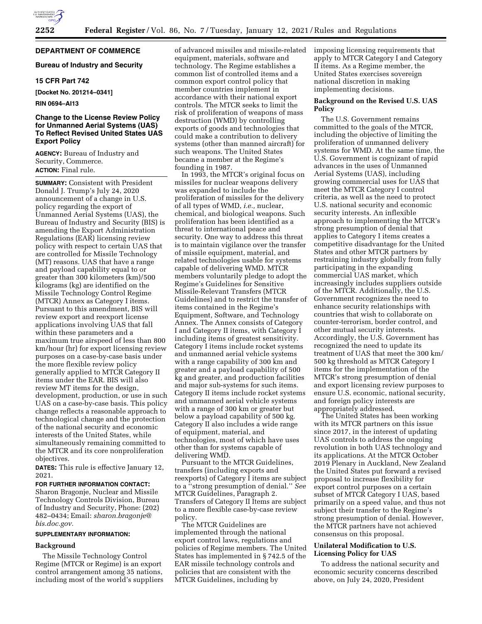

# **DEPARTMENT OF COMMERCE**

## **Bureau of Industry and Security**

## **15 CFR Part 742**

**[Docket No. 201214–0341]** 

# **RIN 0694–AI13**

## **Change to the License Review Policy for Unmanned Aerial Systems (UAS) To Reflect Revised United States UAS Export Policy**

**AGENCY:** Bureau of Industry and Security, Commerce. **ACTION:** Final rule.

**SUMMARY:** Consistent with President Donald J. Trump's July 24, 2020 announcement of a change in U.S. policy regarding the export of Unmanned Aerial Systems (UAS), the Bureau of Industry and Security (BIS) is amending the Export Administration Regulations (EAR) licensing review policy with respect to certain UAS that are controlled for Missile Technology (MT) reasons. UAS that have a range and payload capability equal to or greater than 300 kilometers (km)/500 kilograms (kg) are identified on the Missile Technology Control Regime (MTCR) Annex as Category I items. Pursuant to this amendment, BIS will review export and reexport license applications involving UAS that fall within these parameters and a maximum true airspeed of less than 800 km/hour (hr) for export licensing review purposes on a case-by-case basis under the more flexible review policy generally applied to MTCR Category II items under the EAR. BIS will also review MT items for the design, development, production, or use in such UAS on a case-by-case basis. This policy change reflects a reasonable approach to technological change and the protection of the national security and economic interests of the United States, while simultaneously remaining committed to the MTCR and its core nonproliferation objectives.

**DATES:** This rule is effective January 12, 2021.

## **FOR FURTHER INFORMATION CONTACT:**

Sharon Bragonje, Nuclear and Missile Technology Controls Division, Bureau of Industry and Security, Phone: (202) 482–0434; Email: *[sharon.bragonje@](mailto:sharon.bragonje@bis.doc.gov) [bis.doc.gov.](mailto:sharon.bragonje@bis.doc.gov)* 

#### **SUPPLEMENTARY INFORMATION:**

#### **Background**

The Missile Technology Control Regime (MTCR or Regime) is an export control arrangement among 35 nations, including most of the world's suppliers

of advanced missiles and missile-related equipment, materials, software and technology. The Regime establishes a common list of controlled items and a common export control policy that member countries implement in accordance with their national export controls. The MTCR seeks to limit the risk of proliferation of weapons of mass destruction (WMD) by controlling exports of goods and technologies that could make a contribution to delivery systems (other than manned aircraft) for such weapons. The United States became a member at the Regime's founding in 1987.

In 1993, the MTCR's original focus on missiles for nuclear weapons delivery was expanded to include the proliferation of missiles for the delivery of all types of WMD, *i.e.,* nuclear, chemical, and biological weapons. Such proliferation has been identified as a threat to international peace and security. One way to address this threat is to maintain vigilance over the transfer of missile equipment, material, and related technologies usable for systems capable of delivering WMD. MTCR members voluntarily pledge to adopt the Regime's Guidelines for Sensitive Missile-Relevant Transfers (MTCR Guidelines) and to restrict the transfer of items contained in the Regime's Equipment, Software, and Technology Annex. The Annex consists of Category I and Category II items, with Category I including items of greatest sensitivity. Category I items include rocket systems and unmanned aerial vehicle systems with a range capability of 300 km and greater and a payload capability of 500 kg and greater, and production facilities and major sub-systems for such items. Category II items include rocket systems and unmanned aerial vehicle systems with a range of 300 km or greater but below a payload capability of 500 kg. Category II also includes a wide range of equipment, material, and technologies, most of which have uses other than for systems capable of delivering WMD.

Pursuant to the MTCR Guidelines, transfers (including exports and reexports) of Category I items are subject to a ''strong presumption of denial.'' *See*  MTCR Guidelines, Paragraph 2. Transfers of Category II Items are subject to a more flexible case-by-case review policy.

The MTCR Guidelines are implemented through the national export control laws, regulations and policies of Regime members. The United States has implemented in § 742.5 of the EAR missile technology controls and policies that are consistent with the MTCR Guidelines, including by

imposing licensing requirements that apply to MTCR Category I and Category II items. As a Regime member, the United States exercises sovereign national discretion in making implementing decisions.

#### **Background on the Revised U.S. UAS Policy**

The U.S. Government remains committed to the goals of the MTCR, including the objective of limiting the proliferation of unmanned delivery systems for WMD. At the same time, the U.S. Government is cognizant of rapid advances in the uses of Unmanned Aerial Systems (UAS), including growing commercial uses for UAS that meet the MTCR Category I control criteria, as well as the need to protect U.S. national security and economic security interests. An inflexible approach to implementing the MTCR's strong presumption of denial that applies to Category I items creates a competitive disadvantage for the United States and other MTCR partners by restraining industry globally from fully participating in the expanding commercial UAS market, which increasingly includes suppliers outside of the MTCR. Additionally, the U.S. Government recognizes the need to enhance security relationships with countries that wish to collaborate on counter-terrorism, border control, and other mutual security interests. Accordingly, the U.S. Government has recognized the need to update its treatment of UAS that meet the 300 km/ 500 kg threshold as MTCR Category I items for the implementation of the MTCR's strong presumption of denial and export licensing review purposes to ensure U.S. economic, national security, and foreign policy interests are appropriately addressed.

The United States has been working with its MTCR partners on this issue since 2017, in the interest of updating UAS controls to address the ongoing revolution in both UAS technology and its applications. At the MTCR October 2019 Plenary in Auckland, New Zealand the United States put forward a revised proposal to increase flexibility for export control purposes on a certain subset of MTCR Category I UAS, based primarily on a speed value, and thus not subject their transfer to the Regime's strong presumption of denial. However, the MTCR partners have not achieved consensus on this proposal.

### **Unilateral Modification to U.S. Licensing Policy for UAS**

To address the national security and economic security concerns described above, on July 24, 2020, President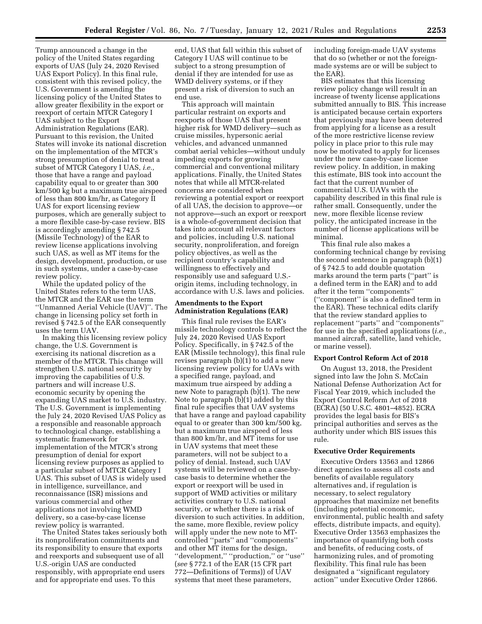Trump announced a change in the policy of the United States regarding exports of UAS (July 24, 2020 Revised UAS Export Policy). In this final rule, consistent with this revised policy, the U.S. Government is amending the licensing policy of the United States to allow greater flexibility in the export or reexport of certain MTCR Category I UAS subject to the Export Administration Regulations (EAR). Pursuant to this revision, the United States will invoke its national discretion on the implementation of the MTCR's strong presumption of denial to treat a subset of MTCR Category I UAS, *i.e.,*  those that have a range and payload capability equal to or greater than 300 km/500 kg but a maximum true airspeed of less than 800 km/hr, as Category II UAS for export licensing review purposes, which are generally subject to a more flexible case-by-case review. BIS is accordingly amending § 742.5 (Missile Technology) of the EAR to review license applications involving such UAS, as well as MT items for the design, development, production, or use in such systems, under a case-by-case review policy.

While the updated policy of the United States refers to the term UAS, the MTCR and the EAR use the term ''Unmanned Aerial Vehicle (UAV)''. The change in licensing policy set forth in revised § 742.5 of the EAR consequently uses the term UAV.

In making this licensing review policy change, the U.S. Government is exercising its national discretion as a member of the MTCR. This change will strengthen U.S. national security by improving the capabilities of U.S. partners and will increase U.S. economic security by opening the expanding UAS market to U.S. industry. The U.S. Government is implementing the July 24, 2020 Revised UAS Policy as a responsible and reasonable approach to technological change, establishing a systematic framework for implementation of the MTCR's strong presumption of denial for export licensing review purposes as applied to a particular subset of MTCR Category I UAS. This subset of UAS is widely used in intelligence, surveillance, and reconnaissance (ISR) missions and various commercial and other applications not involving WMD delivery, so a case-by-case license review policy is warranted.

The United States takes seriously both its nonproliferation commitments and its responsibility to ensure that exports and reexports and subsequent use of all U.S.-origin UAS are conducted responsibly, with appropriate end users and for appropriate end uses. To this

end, UAS that fall within this subset of Category I UAS will continue to be subject to a strong presumption of denial if they are intended for use as WMD delivery systems, or if they present a risk of diversion to such an end use.

This approach will maintain particular restraint on exports and reexports of those UAS that present higher risk for WMD delivery—such as cruise missiles, hypersonic aerial vehicles, and advanced unmanned combat aerial vehicles—without unduly impeding exports for growing commercial and conventional military applications. Finally, the United States notes that while all MTCR-related concerns are considered when reviewing a potential export or reexport of all UAS, the decision to approve—or not approve—such an export or reexport is a whole-of-government decision that takes into account all relevant factors and policies, including U.S. national security, nonproliferation, and foreign policy objectives, as well as the recipient country's capability and willingness to effectively and responsibly use and safeguard U.S. origin items, including technology, in accordance with U.S. laws and policies.

## **Amendments to the Export Administration Regulations (EAR)**

This final rule revises the EAR's missile technology controls to reflect the July 24, 2020 Revised UAS Export Policy. Specifically, in § 742.5 of the EAR (Missile technology), this final rule revises paragraph (b)(1) to add a new licensing review policy for UAVs with a specified range, payload, and maximum true airspeed by adding a new Note to paragraph (b)(1). The new Note to paragraph (b)(1) added by this final rule specifies that UAV systems that have a range and payload capability equal to or greater than 300 km/500 kg, but a maximum true airspeed of less than 800 km/hr, and MT items for use in UAV systems that meet these parameters, will not be subject to a policy of denial. Instead, such UAV systems will be reviewed on a case-bycase basis to determine whether the export or reexport will be used in support of WMD activities or military activities contrary to U.S. national security, or whether there is a risk of diversion to such activities. In addition, the same, more flexible, review policy will apply under the new note to MTcontrolled ''parts'' and ''components'' and other MT items for the design, ''development,'' ''production,'' or ''use'' (*see* § 772.1 of the EAR (15 CFR part 772—Definitions of Terms)) of UAV systems that meet these parameters,

including foreign-made UAV systems that do so (whether or not the foreignmade systems are or will be subject to the EAR).

BIS estimates that this licensing review policy change will result in an increase of twenty license applications submitted annually to BIS. This increase is anticipated because certain exporters that previously may have been deterred from applying for a license as a result of the more restrictive license review policy in place prior to this rule may now be motivated to apply for licenses under the new case-by-case license review policy. In addition, in making this estimate, BIS took into account the fact that the current number of commercial U.S. UAVs with the capability described in this final rule is rather small. Consequently, under the new, more flexible license review policy, the anticipated increase in the number of license applications will be minimal.

This final rule also makes a conforming technical change by revising the second sentence in paragraph (b)(1) of § 742.5 to add double quotation marks around the term parts (''part'' is a defined term in the EAR) and to add after it the term ''components'' (''component'' is also a defined term in the EAR). These technical edits clarify that the review standard applies to replacement ''parts'' and ''components'' for use in the specified applications (*i.e.,*  manned aircraft, satellite, land vehicle, or marine vessel).

#### **Export Control Reform Act of 2018**

On August 13, 2018, the President signed into law the John S. McCain National Defense Authorization Act for Fiscal Year 2019, which included the Export Control Reform Act of 2018 (ECRA) (50 U.S.C. 4801–4852). ECRA provides the legal basis for BIS's principal authorities and serves as the authority under which BIS issues this rule.

#### **Executive Order Requirements**

Executive Orders 13563 and 12866 direct agencies to assess all costs and benefits of available regulatory alternatives and, if regulation is necessary, to select regulatory approaches that maximize net benefits (including potential economic, environmental, public health and safety effects, distribute impacts, and equity). Executive Order 13563 emphasizes the importance of quantifying both costs and benefits, of reducing costs, of harmonizing rules, and of promoting flexibility. This final rule has been designated a ''significant regulatory action'' under Executive Order 12866.